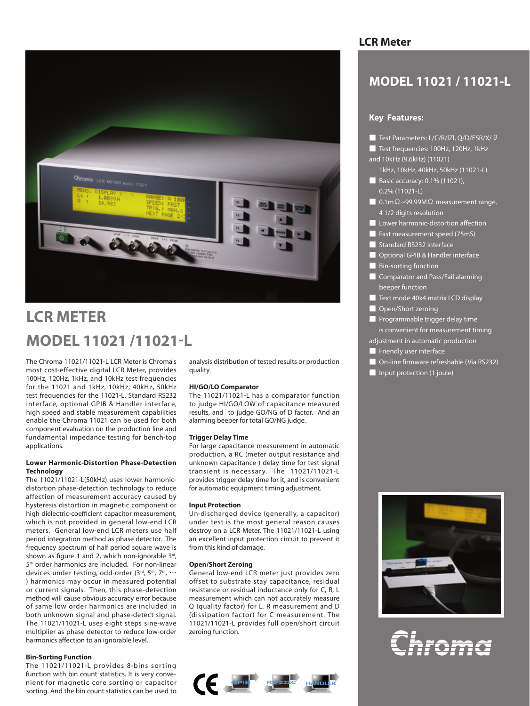

## **LCR METER MODEL 11021 /11021-L**

The Chroma 11021/11021-L LCR Meter is Chroma's most cost-effective digital LCR Meter, provides 100Hz, 120Hz, 1kHz, and 10kHz test frequencies for the 11021 and 1kHz, 10kHz, 40kHz, 50kHz test frequencies for the 11021-L. Standard RS232 interface, optional GPIB & Handler interface, high speed and stable measurement capabilities enable the Chroma 11021 can be used for both component evaluation on the production line and fundamental impedance testing for bench-top applications.

### **Lower Harmonic-Distortion Phase-Detection Technology**

The 11021/11021-L(50kHz) uses lower harmonicdistortion phase-detection technology to reduce affection of measurement accuracy caused by hysteresis distortion in magnetic component or high dielectric-coefficient capacitor measurement, which is not provided in general low-end LCR meters. General low-end LCR meters use half period integration method as phase detector. The frequency spectrum of half period square wave is shown as figure 1 and 2, which non-ignorable  $3^{rd}$ , 5<sup>th</sup> order harmonics are included. For non-linear devices under testing, odd-order (3rd, 5th, 7th, ... ) harmonics may occur in measured potential or current signals. Then, this phase-detection method will cause obvious accuracy error because of same low order harmonics are included in both unknown signal and phase-detect signal. The 11021/11021-L uses eight steps sine-wave multiplier as phase detector to reduce low-order harmonics affection to an ignorable level.

### **Bin-Sorting Function**

The 11021/11021-L provides 8-bins sorting function with bin count statistics. It is very convenient for magnetic core sorting or capacitor sorting. And the bin count statistics can be used to analysis distribution of tested results or production quality.

### **HI/GO/LO Comparator**

The 11021/11021-L has a comparator function to judge HI/GO/LOW of capacitance measured results, and to judge GO/NG of D factor. And an alarming beeper for total GO/NG judge.

### **Trigger Delay Time**

For large capacitance measurement in automatic production, a RC (meter output resistance and unknown capacitance ) delay time for test signal transient is necessary. The 11021/11021-L provides trigger delay time for it, and is convenient for automatic equipment timing adjustment.

### **Input Protection**

Un-discharged device (generally, a capacitor) under test is the most general reason causes destroy on a LCR Meter. The 11021/11021-L using an excellent input protection circuit to prevent it from this kind of damage.

### **Open/Short Zeroing**

General low-end LCR meter just provides zero offset to substrate stay capacitance, residual resistance or residual inductance only for C, R, L measurement which can not accurately measure Q (quality factor) for L, R measurement and D (dissipation factor) for C measurement. The 11021/11021-L provides full open/short circuit zeroing function.



### **LCR Meter**

## **MODEL 11021 / 11021-L**

### **Key Features:**

- Test Parameters: L/C/R/lZl, Q/D/ESR/X/θ
- Test frequencies: 100Hz, 120Hz, 1kHz and 10kHz (9.6kHz) (11021)
	- 1kHz, 10kHz, 40kHz, 50kHz (11021-L)
- Basic accuracy: 0.1% (11021), 0.2% (11021-L)
- 0.1m  $\Omega$  ~99.99M  $\Omega$  measurement range, 4 1/2 digits resolution
- Lower harmonic-distortion affection
- Fast measurement speed (75mS)
- Standard RS232 interface
- Optional GPIB & Handler interface
- Bin-sorting function
- Comparator and Pass/Fail alarming beeper function
- Text mode 40x4 matrix LCD display
- Open/Short zeroing
- Programmable trigger delay time is convenient for measurement timing
- adjustment in automatic production
- **E** Friendly user interface
- | On-line firmware refreshable (Via RS232)
- Input protection (1 joule)



# roma